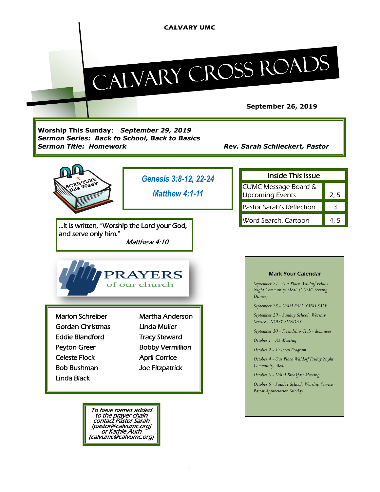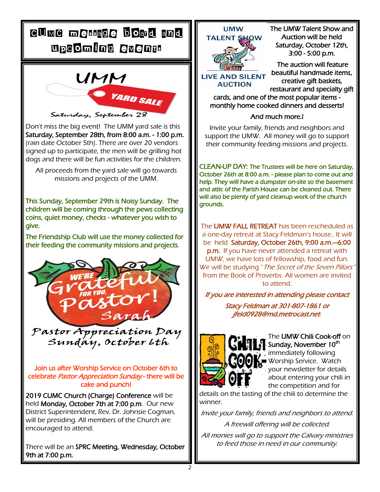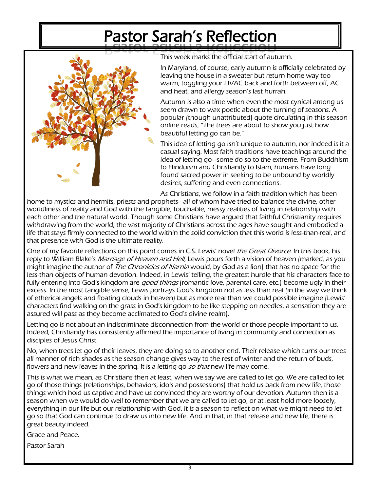# Pastor Sarah's Reflection



This week marks the official start of autumn.

In Maryland, of course, early autumn is officially celebrated by leaving the house in a sweater but return home way too warm, toggling your HVAC back and forth between off, AC and heat, and allergy season's last hurrah.

Autumn is also a time when even the most cynical among us seem drawn to wax poetic about the turning of seasons. A popular (though unattributed) quote circulating in this season online reads, "The trees are about to show you just how beautiful letting go can be."

This idea of letting go isn't unique to autumn, nor indeed is it a casual saying. Most faith traditions have teachings around the idea of letting go—some do so to the extreme. From Buddhism to Hinduism and Christianity to Islam, humans have long found sacred power in seeking to be unbound by worldly desires, suffering and even connections.

As Christians, we follow in a faith tradition which has been

home to mystics and hermits, priests and prophets—all of whom have tried to balance the divine, otherworldliness of reality and God with the tangible, touchable, messy realities of living in relationship with each other and the natural world. Though some Christians have argued that faithful Christianity requires withdrawing from the world, the vast majority of Christians across the ages have sought and embodied a life that stays firmly connected to the world within the solid conviction that this world is less-than-real, and that presence with God is the ultimate reality.

One of my favorite reflections on this point comes in C.S. Lewis' novel the Great Divorce. In this book, his reply to William Blake's *Marriage of Heaven and Hell*, Lewis pours forth a vision of heaven (marked, as you might imagine the author of *The Chronicles of Narnia* would, by God as a lion) that has no space for the less-than objects of human devotion. Indeed, in Lewis' telling, the greatest hurdle that his characters face to fully entering into God's kingdom are *good things* (romantic love, parental care, etc.) become ugly in their excess. In the most tangible sense, Lewis portrays God's kingdom not as less than real (in the way we think of etherical angels and floating clouds in heaven) but as more real than we could possible imagine (Lewis' characters find walking on the grass in God's kingdom to be like stepping on needles, a sensation they are assured will pass as they become acclimated to God's divine realm).

Letting go is not about an indiscriminate disconnection from the world or those people important to us. Indeed, Christianity has consistently affirmed the importance of living in community and connection as disciples of Jesus Christ.

No, when trees let go of their leaves, they are doing so to another end. Their release which turns our trees all manner of rich shades as the season change gives way to the rest of winter and the return of buds, flowers and new leaves in the spring. It is a letting go so that new life may come.

This is what we mean, as Christians then at least, when we say we are called to let go. We are called to let go of those things (relationships, behaviors, idols and possessions) that hold us back from new life, those things which hold us captive and have us convinced they are worthy of our devotion. Autumn then is a season when we would do well to remember that we are called to let go, or at least hold more loosely, everything in our life but our relationship with God. It is a season to reflect on what we might need to let go so that God can continue to draw us into new life. And in that, in that release and new life, there is great beauty indeed.

Grace and Peace.

Pastor Sarah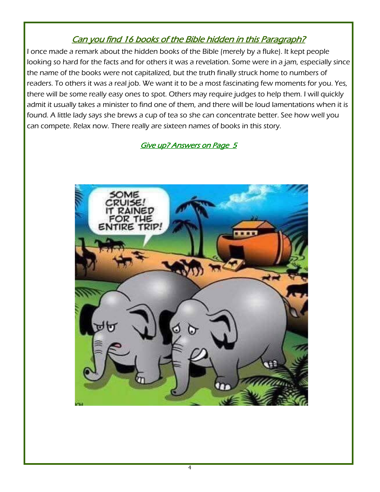# Can you find 16 books of the Bible hidden in this Paragraph?

I once made a remark about the hidden books of the Bible (merely by a fluke). It kept people looking so hard for the facts and for others it was a revelation. Some were in a jam, especially since the name of the books were not capitalized, but the truth finally struck home to numbers of readers. To others it was a real job. We want it to be a most fascinating few moments for you. Yes, there will be some really easy ones to spot. Others may require judges to help them. I will quickly admit it usually takes a minister to find one of them, and there will be loud lamentations when it is found. A little lady says she brews a cup of tea so she can concentrate better. See how well you can compete. Relax now. There really are sixteen names of books in this story.

# Give up? Answers on Page 5